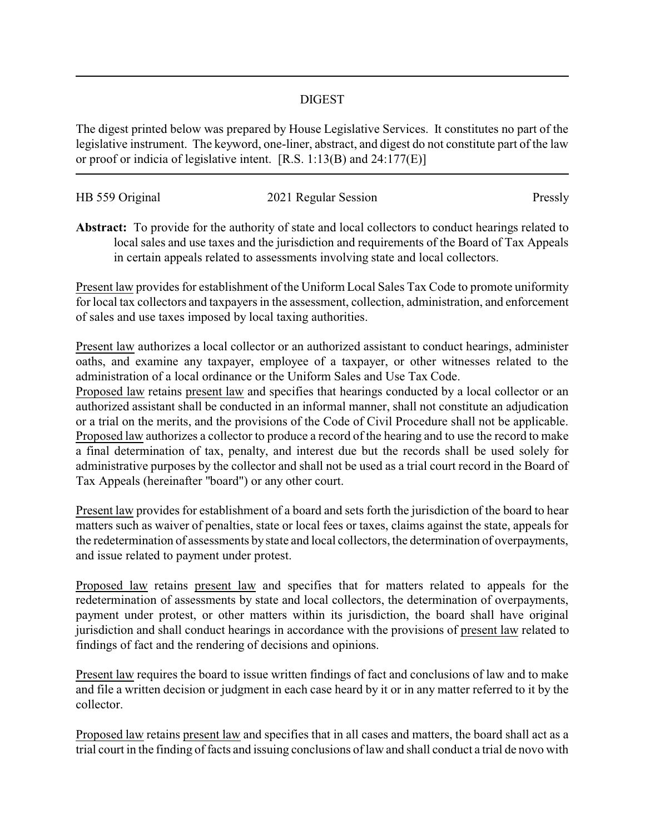## DIGEST

The digest printed below was prepared by House Legislative Services. It constitutes no part of the legislative instrument. The keyword, one-liner, abstract, and digest do not constitute part of the law or proof or indicia of legislative intent. [R.S. 1:13(B) and 24:177(E)]

| HB 559 Original | 2021 Regular Session | Pressly |
|-----------------|----------------------|---------|
|                 |                      |         |

**Abstract:** To provide for the authority of state and local collectors to conduct hearings related to local sales and use taxes and the jurisdiction and requirements of the Board of Tax Appeals in certain appeals related to assessments involving state and local collectors.

Present law provides for establishment of the Uniform Local Sales Tax Code to promote uniformity for local tax collectors and taxpayers in the assessment, collection, administration, and enforcement of sales and use taxes imposed by local taxing authorities.

Present law authorizes a local collector or an authorized assistant to conduct hearings, administer oaths, and examine any taxpayer, employee of a taxpayer, or other witnesses related to the administration of a local ordinance or the Uniform Sales and Use Tax Code.

Proposed law retains present law and specifies that hearings conducted by a local collector or an authorized assistant shall be conducted in an informal manner, shall not constitute an adjudication or a trial on the merits, and the provisions of the Code of Civil Procedure shall not be applicable. Proposed law authorizes a collector to produce a record of the hearing and to use the record to make a final determination of tax, penalty, and interest due but the records shall be used solely for administrative purposes by the collector and shall not be used as a trial court record in the Board of Tax Appeals (hereinafter "board") or any other court.

Present law provides for establishment of a board and sets forth the jurisdiction of the board to hear matters such as waiver of penalties, state or local fees or taxes, claims against the state, appeals for the redetermination of assessments by state and local collectors, the determination of overpayments, and issue related to payment under protest.

Proposed law retains present law and specifies that for matters related to appeals for the redetermination of assessments by state and local collectors, the determination of overpayments, payment under protest, or other matters within its jurisdiction, the board shall have original jurisdiction and shall conduct hearings in accordance with the provisions of present law related to findings of fact and the rendering of decisions and opinions.

Present law requires the board to issue written findings of fact and conclusions of law and to make and file a written decision or judgment in each case heard by it or in any matter referred to it by the collector.

Proposed law retains present law and specifies that in all cases and matters, the board shall act as a trial court in the finding of facts and issuing conclusions of law and shall conduct a trial de novo with